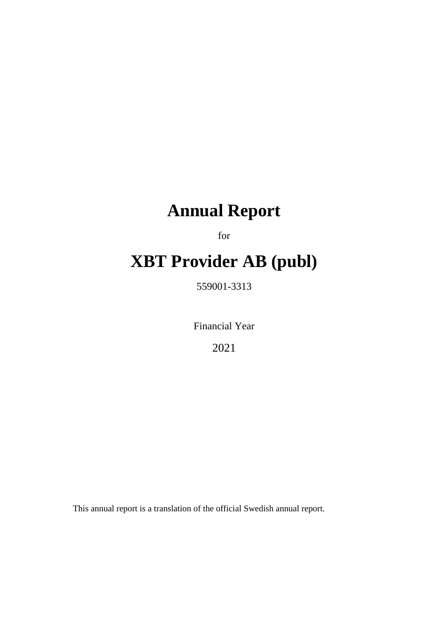# **Annual Report**

for

# **XBT Provider AB (publ)**

559001-3313

Financial Year

2021

This annual report is a translation of the official Swedish annual report.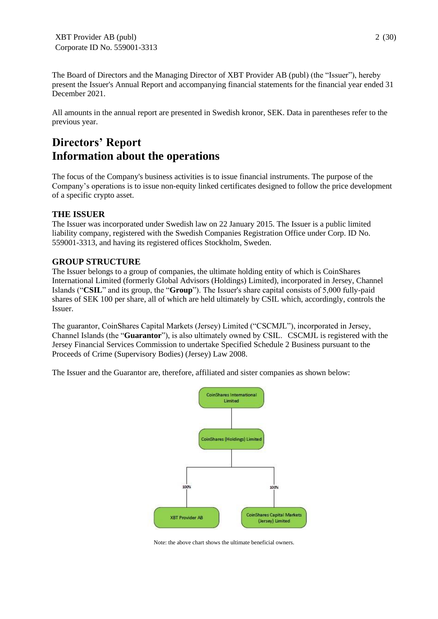The Board of Directors and the Managing Director of XBT Provider AB (publ) (the "Issuer"), hereby present the Issuer's Annual Report and accompanying financial statements for the financial year ended 31 December 2021.

All amounts in the annual report are presented in Swedish kronor, SEK. Data in parentheses refer to the previous year.

# **Directors' Report Information about the operations**

The focus of the Company's business activities is to issue financial instruments. The purpose of the Company's operations is to issue non-equity linked certificates designed to follow the price development of a specific crypto asset.

# **THE ISSUER**

The Issuer was incorporated under Swedish law on 22 January 2015. The Issuer is a public limited liability company, registered with the Swedish Companies Registration Office under Corp. ID No. 559001-3313, and having its registered offices Stockholm, Sweden.

# **GROUP STRUCTURE**

The Issuer belongs to a group of companies, the ultimate holding entity of which is CoinShares International Limited (formerly Global Advisors (Holdings) Limited), incorporated in Jersey, Channel Islands ("**CSIL**" and its group, the "**Group**"). The Issuer's share capital consists of 5,000 fully-paid shares of SEK 100 per share, all of which are held ultimately by CSIL which, accordingly, controls the Issuer.

The guarantor, CoinShares Capital Markets (Jersey) Limited ("CSCMJL"), incorporated in Jersey, Channel Islands (the "**Guarantor**"), is also ultimately owned by CSIL. CSCMJL is registered with the Jersey Financial Services Commission to undertake Specified Schedule 2 Business pursuant to the Proceeds of Crime (Supervisory Bodies) (Jersey) Law 2008.

The Issuer and the Guarantor are, therefore, affiliated and sister companies as shown below:



Note: the above chart shows the ultimate beneficial owners.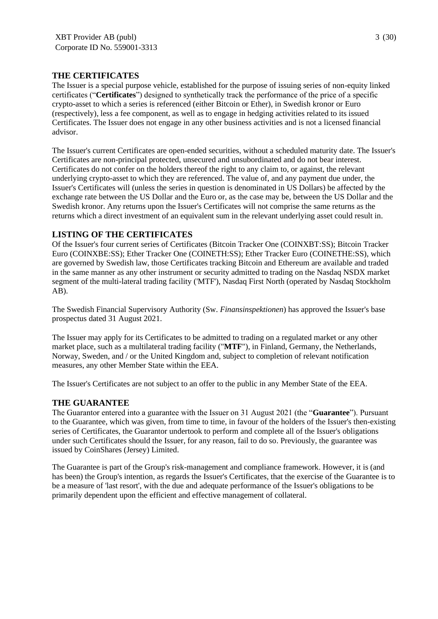# **THE CERTIFICATES**

The Issuer is a special purpose vehicle, established for the purpose of issuing series of non-equity linked certificates ("**Certificates**") designed to synthetically track the performance of the price of a specific crypto-asset to which a series is referenced (either Bitcoin or Ether), in Swedish kronor or Euro (respectively), less a fee component, as well as to engage in hedging activities related to its issued Certificates. The Issuer does not engage in any other business activities and is not a licensed financial advisor.

The Issuer's current Certificates are open-ended securities, without a scheduled maturity date. The Issuer's Certificates are non-principal protected, unsecured and unsubordinated and do not bear interest. Certificates do not confer on the holders thereof the right to any claim to, or against, the relevant underlying crypto-asset to which they are referenced. The value of, and any payment due under, the Issuer's Certificates will (unless the series in question is denominated in US Dollars) be affected by the exchange rate between the US Dollar and the Euro or, as the case may be, between the US Dollar and the Swedish kronor. Any returns upon the Issuer's Certificates will not comprise the same returns as the returns which a direct investment of an equivalent sum in the relevant underlying asset could result in.

# **LISTING OF THE CERTIFICATES**

Of the Issuer's four current series of Certificates (Bitcoin Tracker One (COINXBT:SS); Bitcoin Tracker Euro (COINXBE:SS); Ether Tracker One (COINETH:SS); Ether Tracker Euro (COINETHE:SS), which are governed by Swedish law, those Certificates tracking Bitcoin and Ethereum are available and traded in the same manner as any other instrument or security admitted to trading on the Nasdaq NSDX market segment of the multi-lateral trading facility ('MTF'), Nasdaq First North (operated by Nasdaq Stockholm AB).

The Swedish Financial Supervisory Authority (Sw. *Finansinspektionen*) has approved the Issuer's base prospectus dated 31 August 2021.

The Issuer may apply for its Certificates to be admitted to trading on a regulated market or any other market place, such as a multilateral trading facility ("**MTF**"), in Finland, Germany, the Netherlands, Norway, Sweden, and / or the United Kingdom and, subject to completion of relevant notification measures, any other Member State within the EEA.

The Issuer's Certificates are not subject to an offer to the public in any Member State of the EEA.

# **THE GUARANTEE**

The Guarantor entered into a guarantee with the Issuer on 31 August 2021 (the "**Guarantee**"). Pursuant to the Guarantee, which was given, from time to time, in favour of the holders of the Issuer's then-existing series of Certificates, the Guarantor undertook to perform and complete all of the Issuer's obligations under such Certificates should the Issuer, for any reason, fail to do so. Previously, the guarantee was issued by CoinShares (Jersey) Limited.

The Guarantee is part of the Group's risk-management and compliance framework. However, it is (and has been) the Group's intention, as regards the Issuer's Certificates, that the exercise of the Guarantee is to be a measure of 'last resort', with the due and adequate performance of the Issuer's obligations to be primarily dependent upon the efficient and effective management of collateral.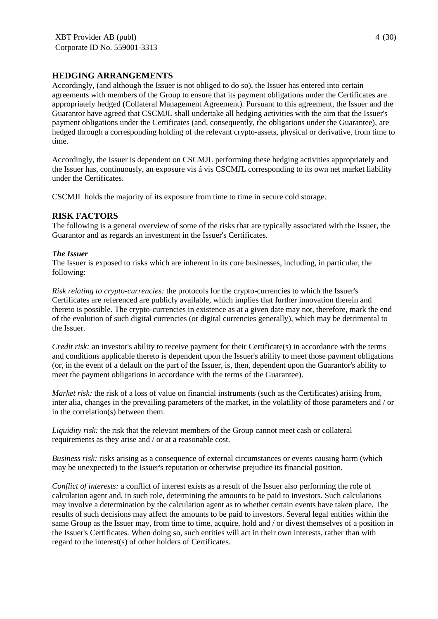# **HEDGING ARRANGEMENTS**

Accordingly, (and although the Issuer is not obliged to do so), the Issuer has entered into certain agreements with members of the Group to ensure that its payment obligations under the Certificates are appropriately hedged (Collateral Management Agreement). Pursuant to this agreement, the Issuer and the Guarantor have agreed that CSCMJL shall undertake all hedging activities with the aim that the Issuer's payment obligations under the Certificates (and, consequently, the obligations under the Guarantee), are hedged through a corresponding holding of the relevant crypto-assets, physical or derivative, from time to time.

Accordingly, the Issuer is dependent on CSCMJL performing these hedging activities appropriately and the Issuer has, continuously, an exposure vis á vis CSCMJL corresponding to its own net market liability under the Certificates.

CSCMJL holds the majority of its exposure from time to time in secure cold storage.

# **RISK FACTORS**

The following is a general overview of some of the risks that are typically associated with the Issuer, the Guarantor and as regards an investment in the Issuer's Certificates.

#### *The Issuer*

The Issuer is exposed to risks which are inherent in its core businesses, including, in particular, the following:

*Risk relating to crypto-currencies:* the protocols for the crypto-currencies to which the Issuer's Certificates are referenced are publicly available, which implies that further innovation therein and thereto is possible. The crypto-currencies in existence as at a given date may not, therefore, mark the end of the evolution of such digital currencies (or digital currencies generally), which may be detrimental to the Issuer.

*Credit risk:* an investor's ability to receive payment for their Certificate(s) in accordance with the terms and conditions applicable thereto is dependent upon the Issuer's ability to meet those payment obligations (or, in the event of a default on the part of the Issuer, is, then, dependent upon the Guarantor's ability to meet the payment obligations in accordance with the terms of the Guarantee).

*Market risk:* the risk of a loss of value on financial instruments (such as the Certificates) arising from, inter alia, changes in the prevailing parameters of the market, in the volatility of those parameters and / or in the correlation(s) between them.

*Liquidity risk:* the risk that the relevant members of the Group cannot meet cash or collateral requirements as they arise and / or at a reasonable cost.

*Business risk:* risks arising as a consequence of external circumstances or events causing harm (which may be unexpected) to the Issuer's reputation or otherwise prejudice its financial position.

*Conflict of interests:* a conflict of interest exists as a result of the Issuer also performing the role of calculation agent and, in such role, determining the amounts to be paid to investors. Such calculations may involve a determination by the calculation agent as to whether certain events have taken place. The results of such decisions may affect the amounts to be paid to investors. Several legal entities within the same Group as the Issuer may, from time to time, acquire, hold and / or divest themselves of a position in the Issuer's Certificates. When doing so, such entities will act in their own interests, rather than with regard to the interest(s) of other holders of Certificates.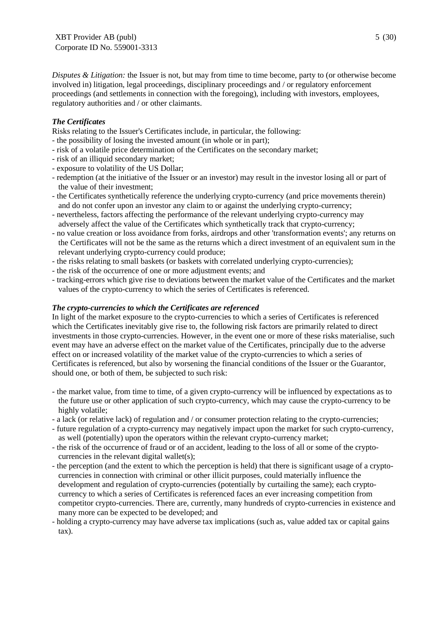*Disputes & Litigation:* the Issuer is not, but may from time to time become, party to (or otherwise become involved in) litigation, legal proceedings, disciplinary proceedings and / or regulatory enforcement proceedings (and settlements in connection with the foregoing), including with investors, employees, regulatory authorities and / or other claimants.

# *The Certificates*

Risks relating to the Issuer's Certificates include, in particular, the following:

- the possibility of losing the invested amount (in whole or in part);
- risk of a volatile price determination of the Certificates on the secondary market;
- risk of an illiquid secondary market;
- exposure to volatility of the US Dollar;
- redemption (at the initiative of the Issuer or an investor) may result in the investor losing all or part of the value of their investment;
- the Certificates synthetically reference the underlying crypto-currency (and price movements therein) and do not confer upon an investor any claim to or against the underlying crypto-currency;
- nevertheless, factors affecting the performance of the relevant underlying crypto-currency may adversely affect the value of the Certificates which synthetically track that crypto-currency;
- no value creation or loss avoidance from forks, airdrops and other 'transformation events'; any returns on the Certificates will not be the same as the returns which a direct investment of an equivalent sum in the relevant underlying crypto-currency could produce;
- the risks relating to small baskets (or baskets with correlated underlying crypto-currencies);
- the risk of the occurrence of one or more adjustment events; and
- tracking-errors which give rise to deviations between the market value of the Certificates and the market values of the crypto-currency to which the series of Certificates is referenced.

# *The crypto-currencies to which the Certificates are referenced*

In light of the market exposure to the crypto-currencies to which a series of Certificates is referenced which the Certificates inevitably give rise to, the following risk factors are primarily related to direct investments in those crypto-currencies. However, in the event one or more of these risks materialise, such event may have an adverse effect on the market value of the Certificates, principally due to the adverse effect on or increased volatility of the market value of the crypto-currencies to which a series of Certificates is referenced, but also by worsening the financial conditions of the Issuer or the Guarantor, should one, or both of them, be subjected to such risk:

- the market value, from time to time, of a given crypto-currency will be influenced by expectations as to the future use or other application of such crypto-currency, which may cause the crypto-currency to be highly volatile;
- a lack (or relative lack) of regulation and / or consumer protection relating to the crypto-currencies;
- future regulation of a crypto-currency may negatively impact upon the market for such crypto-currency, as well (potentially) upon the operators within the relevant crypto-currency market;
- the risk of the occurrence of fraud or of an accident, leading to the loss of all or some of the cryptocurrencies in the relevant digital wallet(s);
- the perception (and the extent to which the perception is held) that there is significant usage of a cryptocurrencies in connection with criminal or other illicit purposes, could materially influence the development and regulation of crypto-currencies (potentially by curtailing the same); each cryptocurrency to which a series of Certificates is referenced faces an ever increasing competition from competitor crypto-currencies. There are, currently, many hundreds of crypto-currencies in existence and many more can be expected to be developed; and
- holding a crypto-currency may have adverse tax implications (such as, value added tax or capital gains tax).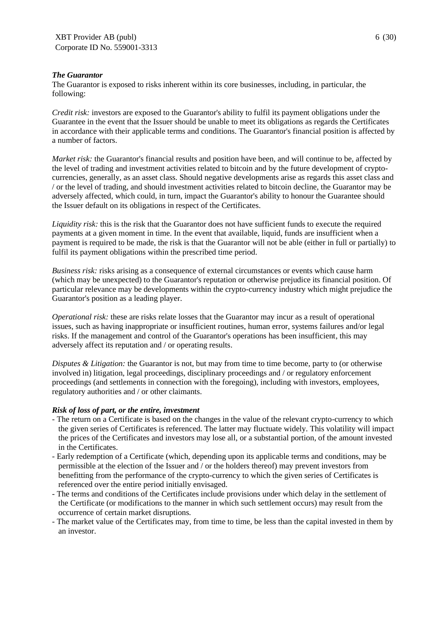#### *The Guarantor*

The Guarantor is exposed to risks inherent within its core businesses, including, in particular, the following:

*Credit risk:* investors are exposed to the Guarantor's ability to fulfil its payment obligations under the Guarantee in the event that the Issuer should be unable to meet its obligations as regards the Certificates in accordance with their applicable terms and conditions. The Guarantor's financial position is affected by a number of factors.

*Market risk:* the Guarantor's financial results and position have been, and will continue to be, affected by the level of trading and investment activities related to bitcoin and by the future development of cryptocurrencies, generally, as an asset class. Should negative developments arise as regards this asset class and / or the level of trading, and should investment activities related to bitcoin decline, the Guarantor may be adversely affected, which could, in turn, impact the Guarantor's ability to honour the Guarantee should the Issuer default on its obligations in respect of the Certificates.

*Liquidity risk:* this is the risk that the Guarantor does not have sufficient funds to execute the required payments at a given moment in time. In the event that available, liquid, funds are insufficient when a payment is required to be made, the risk is that the Guarantor will not be able (either in full or partially) to fulfil its payment obligations within the prescribed time period.

*Business risk:* risks arising as a consequence of external circumstances or events which cause harm (which may be unexpected) to the Guarantor's reputation or otherwise prejudice its financial position. Of particular relevance may be developments within the crypto-currency industry which might prejudice the Guarantor's position as a leading player.

*Operational risk:* these are risks relate losses that the Guarantor may incur as a result of operational issues, such as having inappropriate or insufficient routines, human error, systems failures and/or legal risks. If the management and control of the Guarantor's operations has been insufficient, this may adversely affect its reputation and / or operating results.

*Disputes & Litigation:* the Guarantor is not, but may from time to time become, party to (or otherwise involved in) litigation, legal proceedings, disciplinary proceedings and / or regulatory enforcement proceedings (and settlements in connection with the foregoing), including with investors, employees, regulatory authorities and / or other claimants.

#### *Risk of loss of part, or the entire, investment*

- The return on a Certificate is based on the changes in the value of the relevant crypto-currency to which the given series of Certificates is referenced. The latter may fluctuate widely. This volatility will impact the prices of the Certificates and investors may lose all, or a substantial portion, of the amount invested in the Certificates.
- Early redemption of a Certificate (which, depending upon its applicable terms and conditions, may be permissible at the election of the Issuer and / or the holders thereof) may prevent investors from benefitting from the performance of the crypto-currency to which the given series of Certificates is referenced over the entire period initially envisaged.
- The terms and conditions of the Certificates include provisions under which delay in the settlement of the Certificate (or modifications to the manner in which such settlement occurs) may result from the occurrence of certain market disruptions.
- The market value of the Certificates may, from time to time, be less than the capital invested in them by an investor.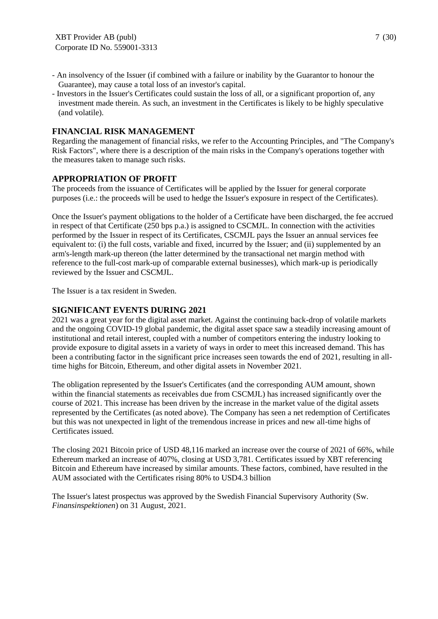- An insolvency of the Issuer (if combined with a failure or inability by the Guarantor to honour the Guarantee), may cause a total loss of an investor's capital.
- Investors in the Issuer's Certificates could sustain the loss of all, or a significant proportion of, any investment made therein. As such, an investment in the Certificates is likely to be highly speculative (and volatile).

### **FINANCIAL RISK MANAGEMENT**

Regarding the management of financial risks, we refer to the Accounting Principles, and "The Company's Risk Factors", where there is a description of the main risks in the Company's operations together with the measures taken to manage such risks.

#### **APPROPRIATION OF PROFIT**

The proceeds from the issuance of Certificates will be applied by the Issuer for general corporate purposes (i.e.: the proceeds will be used to hedge the Issuer's exposure in respect of the Certificates).

Once the Issuer's payment obligations to the holder of a Certificate have been discharged, the fee accrued in respect of that Certificate (250 bps p.a.) is assigned to CSCMJL. In connection with the activities performed by the Issuer in respect of its Certificates, CSCMJL pays the Issuer an annual services fee equivalent to: (i) the full costs, variable and fixed, incurred by the Issuer; and (ii) supplemented by an arm's-length mark-up thereon (the latter determined by the transactional net margin method with reference to the full-cost mark-up of comparable external businesses), which mark-up is periodically reviewed by the Issuer and CSCMJL.

The Issuer is a tax resident in Sweden.

### **SIGNIFICANT EVENTS DURING 2021**

2021 was a great year for the digital asset market. Against the continuing back-drop of volatile markets and the ongoing COVID-19 global pandemic, the digital asset space saw a steadily increasing amount of institutional and retail interest, coupled with a number of competitors entering the industry looking to provide exposure to digital assets in a variety of ways in order to meet this increased demand. This has been a contributing factor in the significant price increases seen towards the end of 2021, resulting in alltime highs for Bitcoin, Ethereum, and other digital assets in November 2021.

The obligation represented by the Issuer's Certificates (and the corresponding AUM amount, shown within the financial statements as receivables due from CSCMJL) has increased significantly over the course of 2021. This increase has been driven by the increase in the market value of the digital assets represented by the Certificates (as noted above). The Company has seen a net redemption of Certificates but this was not unexpected in light of the tremendous increase in prices and new all-time highs of Certificates issued.

The closing 2021 Bitcoin price of USD 48,116 marked an increase over the course of 2021 of 66%, while Ethereum marked an increase of 407%, closing at USD 3,781. Certificates issued by XBT referencing Bitcoin and Ethereum have increased by similar amounts. These factors, combined, have resulted in the AUM associated with the Certificates rising 80% to USD4.3 billion

The Issuer's latest prospectus was approved by the Swedish Financial Supervisory Authority (Sw. *Finansinspektionen*) on 31 August, 2021.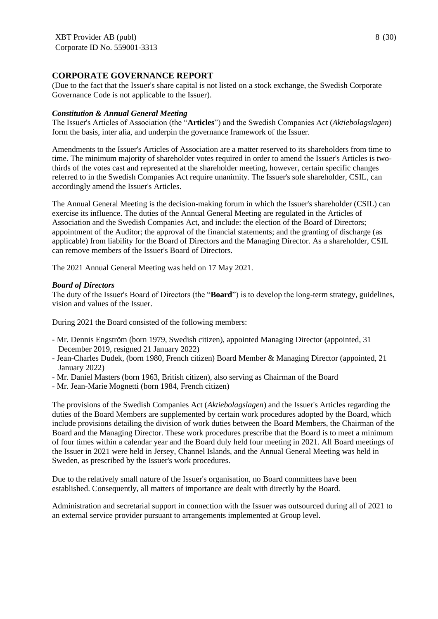# **CORPORATE GOVERNANCE REPORT**

(Due to the fact that the Issuer's share capital is not listed on a stock exchange, the Swedish Corporate Governance Code is not applicable to the Issuer).

#### *Constitution & Annual General Meeting*

The Issuer's Articles of Association (the "**Articles**") and the Swedish Companies Act (*Aktiebolagslagen*) form the basis, inter alia, and underpin the governance framework of the Issuer.

Amendments to the Issuer's Articles of Association are a matter reserved to its shareholders from time to time. The minimum majority of shareholder votes required in order to amend the Issuer's Articles is twothirds of the votes cast and represented at the shareholder meeting, however, certain specific changes referred to in the Swedish Companies Act require unanimity. The Issuer's sole shareholder, CSIL, can accordingly amend the Issuer's Articles.

The Annual General Meeting is the decision-making forum in which the Issuer's shareholder (CSIL) can exercise its influence. The duties of the Annual General Meeting are regulated in the Articles of Association and the Swedish Companies Act, and include: the election of the Board of Directors; appointment of the Auditor; the approval of the financial statements; and the granting of discharge (as applicable) from liability for the Board of Directors and the Managing Director. As a shareholder, CSIL can remove members of the Issuer's Board of Directors.

The 2021 Annual General Meeting was held on 17 May 2021.

#### *Board of Directors*

The duty of the Issuer's Board of Directors (the "**Board**") is to develop the long-term strategy, guidelines, vision and values of the Issuer.

During 2021 the Board consisted of the following members:

- Mr. Dennis Engström (born 1979, Swedish citizen), appointed Managing Director (appointed, 31 December 2019, resigned 21 January 2022)
- Jean-Charles Dudek, (born 1980, French citizen) Board Member & Managing Director (appointed, 21 January 2022)
- Mr. Daniel Masters (born 1963, British citizen), also serving as Chairman of the Board
- Mr. Jean-Marie Mognetti (born 1984, French citizen)

The provisions of the Swedish Companies Act (*Aktiebolagslagen*) and the Issuer's Articles regarding the duties of the Board Members are supplemented by certain work procedures adopted by the Board, which include provisions detailing the division of work duties between the Board Members, the Chairman of the Board and the Managing Director. These work procedures prescribe that the Board is to meet a minimum of four times within a calendar year and the Board duly held four meeting in 2021. All Board meetings of the Issuer in 2021 were held in Jersey, Channel Islands, and the Annual General Meeting was held in Sweden, as prescribed by the Issuer's work procedures.

Due to the relatively small nature of the Issuer's organisation, no Board committees have been established. Consequently, all matters of importance are dealt with directly by the Board.

Administration and secretarial support in connection with the Issuer was outsourced during all of 2021 to an external service provider pursuant to arrangements implemented at Group level.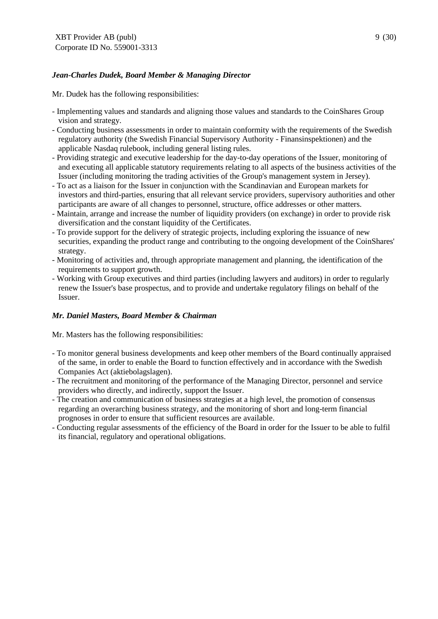# *Jean-Charles Dudek, Board Member & Managing Director*

Mr. Dudek has the following responsibilities:

- Implementing values and standards and aligning those values and standards to the CoinShares Group vision and strategy.
- Conducting business assessments in order to maintain conformity with the requirements of the Swedish regulatory authority (the Swedish Financial Supervisory Authority - Finansinspektionen) and the applicable Nasdaq rulebook, including general listing rules.
- Providing strategic and executive leadership for the day-to-day operations of the Issuer, monitoring of and executing all applicable statutory requirements relating to all aspects of the business activities of the Issuer (including monitoring the trading activities of the Group's management system in Jersey).
- To act as a liaison for the Issuer in conjunction with the Scandinavian and European markets for investors and third-parties, ensuring that all relevant service providers, supervisory authorities and other participants are aware of all changes to personnel, structure, office addresses or other matters.
- Maintain, arrange and increase the number of liquidity providers (on exchange) in order to provide risk diversification and the constant liquidity of the Certificates.
- To provide support for the delivery of strategic projects, including exploring the issuance of new securities, expanding the product range and contributing to the ongoing development of the CoinShares' strategy.
- Monitoring of activities and, through appropriate management and planning, the identification of the requirements to support growth.
- Working with Group executives and third parties (including lawyers and auditors) in order to regularly renew the Issuer's base prospectus, and to provide and undertake regulatory filings on behalf of the Issuer.

# *Mr. Daniel Masters, Board Member & Chairman*

Mr. Masters has the following responsibilities:

- To monitor general business developments and keep other members of the Board continually appraised of the same, in order to enable the Board to function effectively and in accordance with the Swedish Companies Act (aktiebolagslagen).
- The recruitment and monitoring of the performance of the Managing Director, personnel and service providers who directly, and indirectly, support the Issuer.
- The creation and communication of business strategies at a high level, the promotion of consensus regarding an overarching business strategy, and the monitoring of short and long-term financial prognoses in order to ensure that sufficient resources are available.
- Conducting regular assessments of the efficiency of the Board in order for the Issuer to be able to fulfil its financial, regulatory and operational obligations.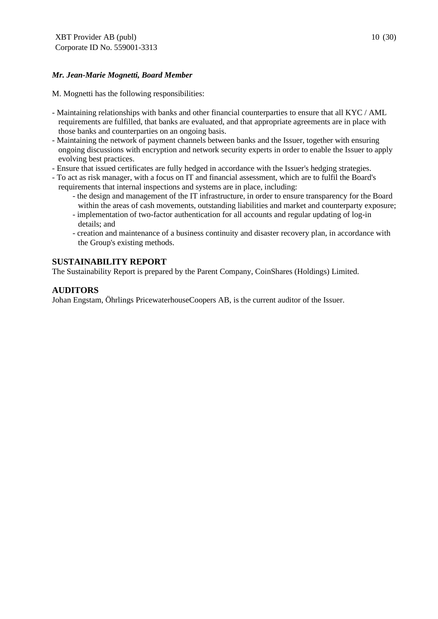# *Mr. Jean-Marie Mognetti, Board Member*

M. Mognetti has the following responsibilities:

- Maintaining relationships with banks and other financial counterparties to ensure that all KYC / AML requirements are fulfilled, that banks are evaluated, and that appropriate agreements are in place with those banks and counterparties on an ongoing basis.
- Maintaining the network of payment channels between banks and the Issuer, together with ensuring ongoing discussions with encryption and network security experts in order to enable the Issuer to apply evolving best practices.
- Ensure that issued certificates are fully hedged in accordance with the Issuer's hedging strategies.
- To act as risk manager, with a focus on IT and financial assessment, which are to fulfil the Board's requirements that internal inspections and systems are in place, including:
	- the design and management of the IT infrastructure, in order to ensure transparency for the Board within the areas of cash movements, outstanding liabilities and market and counterparty exposure;
	- implementation of two-factor authentication for all accounts and regular updating of log-in details; and
	- creation and maintenance of a business continuity and disaster recovery plan, in accordance with the Group's existing methods.

# **SUSTAINABILITY REPORT**

The Sustainability Report is prepared by the Parent Company, CoinShares (Holdings) Limited.

# **AUDITORS**

Johan Engstam, Öhrlings PricewaterhouseCoopers AB, is the current auditor of the Issuer.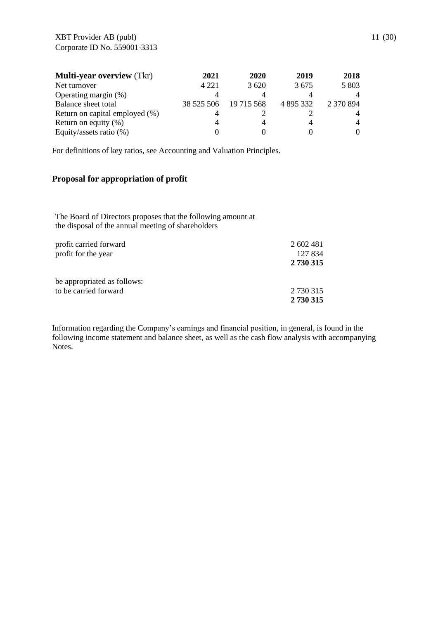| <b>Multi-year overview</b> (Tkr) | 2021       | 2020       | 2019      | 2018      |
|----------------------------------|------------|------------|-----------|-----------|
| Net turnover                     | 4 2 2 1    | 3620       | 3675      | 5 803     |
| Operating margin (%)             |            |            |           |           |
| Balance sheet total              | 38 525 506 | 19 715 568 | 4 895 332 | 2 370 894 |
| Return on capital employed (%)   |            |            |           |           |
| Return on equity $(\%)$          |            |            |           | 4         |
| Equity/assets ratio (%)          |            |            |           |           |

For definitions of key ratios, see Accounting and Valuation Principles.

# **Proposal for appropriation of profit**

The Board of Directors proposes that the following amount at the disposal of the annual meeting of shareholders

| profit carried forward      | 2 602 481 |
|-----------------------------|-----------|
| profit for the year         | 127 834   |
|                             | 2 730 315 |
| be appropriated as follows: |           |
| to be carried forward       | 2 730 315 |
|                             | 2 730 315 |

Information regarding the Company's earnings and financial position, in general, is found in the following income statement and balance sheet, as well as the cash flow analysis with accompanying Notes.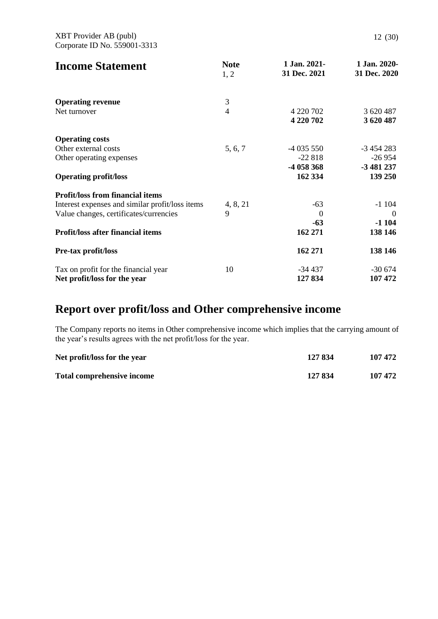| <b>Income Statement</b>                         | <b>Note</b><br>1, 2 | 1 Jan. 2021-<br>31 Dec. 2021 | 1 Jan. 2020-<br>31 Dec. 2020 |
|-------------------------------------------------|---------------------|------------------------------|------------------------------|
| <b>Operating revenue</b>                        | 3                   |                              |                              |
| Net turnover                                    | $\overline{4}$      | 4 220 702                    | 3 620 487                    |
|                                                 |                     | 4 220 702                    | 3 620 487                    |
| <b>Operating costs</b>                          |                     |                              |                              |
| Other external costs                            | 5, 6, 7             | $-4035550$                   | $-3454283$                   |
| Other operating expenses                        |                     | $-22818$                     | $-26954$                     |
|                                                 |                     | -4 058 368                   | -3 481 237                   |
| <b>Operating profit/loss</b>                    |                     | 162 334                      | 139 250                      |
| <b>Profit/loss from financial items</b>         |                     |                              |                              |
| Interest expenses and similar profit/loss items | 4, 8, 21            | $-63$                        | $-1104$                      |
| Value changes, certificates/currencies          | 9                   | $\theta$                     | $\theta$                     |
|                                                 |                     | -63                          | $-1104$                      |
| Profit/loss after financial items               |                     | 162 271                      | 138 146                      |
| <b>Pre-tax profit/loss</b>                      |                     | 162 271                      | 138 146                      |
| Tax on profit for the financial year            | 10                  | -34 437                      | $-30674$                     |
| Net profit/loss for the year                    |                     | 127 834                      | 107 472                      |

# **Report over profit/loss and Other comprehensive income**

The Company reports no items in Other comprehensive income which implies that the carrying amount of the year's results agrees with the net profit/loss for the year.

| Net profit/loss for the year      | 127 834 | 107 472 |
|-----------------------------------|---------|---------|
| <b>Total comprehensive income</b> | 127 834 | 107 472 |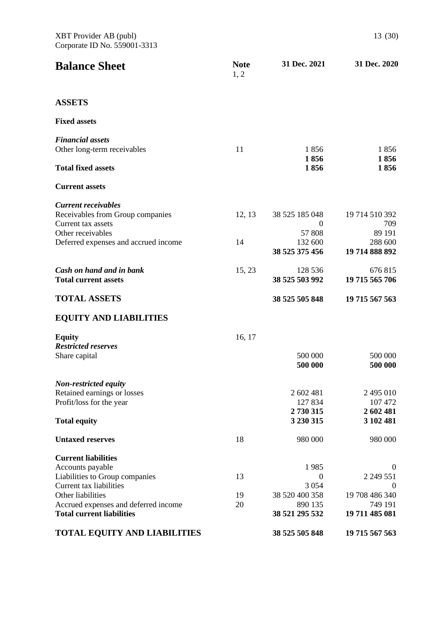| <b>Balance Sheet</b>                                                     | <b>Note</b><br>1, 2 | 31 Dec. 2021              | 31 Dec. 2020              |
|--------------------------------------------------------------------------|---------------------|---------------------------|---------------------------|
| <b>ASSETS</b>                                                            |                     |                           |                           |
| <b>Fixed assets</b>                                                      |                     |                           |                           |
| <b>Financial assets</b>                                                  |                     |                           |                           |
| Other long-term receivables                                              | 11                  | 1856<br>1856              | 1856<br>1856              |
| <b>Total fixed assets</b>                                                |                     | 1856                      | 1856                      |
| <b>Current assets</b>                                                    |                     |                           |                           |
| <b>Current receivables</b>                                               |                     |                           |                           |
| Receivables from Group companies                                         | 12, 13              | 38 525 185 048            | 19 714 510 392            |
| Current tax assets                                                       |                     | $\Omega$                  | 709                       |
| Other receivables                                                        |                     | 57 808                    | 89 191                    |
| Deferred expenses and accrued income                                     | 14                  | 132 600<br>38 525 375 456 | 288 600<br>19 714 888 892 |
| Cash on hand and in bank                                                 | 15, 23              | 128 536                   | 676 815                   |
| <b>Total current assets</b>                                              |                     | 38 525 503 992            | 19 715 565 706            |
| <b>TOTAL ASSETS</b>                                                      |                     | 38 525 505 848            | 19 715 567 563            |
| <b>EQUITY AND LIABILITIES</b>                                            |                     |                           |                           |
| <b>Equity</b>                                                            | 16, 17              |                           |                           |
| <b>Restricted reserves</b>                                               |                     |                           |                           |
| Share capital                                                            |                     | 500 000                   | 500 000                   |
|                                                                          |                     | 500 000                   | 500 000                   |
| <b>Non-restricted equity</b>                                             |                     |                           |                           |
| Retained earnings or losses<br>Profit/loss for the year                  |                     | 2 602 481<br>127834       | 2 495 010<br>107 472      |
|                                                                          |                     | 2 730 315                 | 2 602 481                 |
| <b>Total equity</b>                                                      |                     | 3 230 315                 | 3 102 481                 |
| <b>Untaxed reserves</b>                                                  | 18                  | 980 000                   | 980 000                   |
| <b>Current liabilities</b>                                               |                     |                           |                           |
| Accounts payable                                                         |                     | 1985                      | $\theta$                  |
| Liabilities to Group companies                                           | 13                  | $\boldsymbol{0}$          | 2 2 49 5 51               |
| Current tax liabilities                                                  |                     | 3 0 5 4                   | $\overline{0}$            |
| Other liabilities                                                        | 19                  | 38 520 400 358            | 19 708 486 340            |
| Accrued expenses and deferred income<br><b>Total current liabilities</b> | 20                  | 890 135<br>38 521 295 532 | 749 191<br>19 711 485 081 |
| TOTAL EQUITY AND LIABILITIES                                             |                     | 38 525 505 848            | 19 715 567 563            |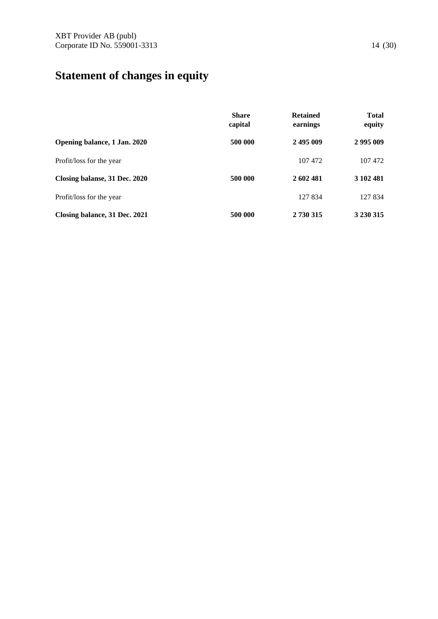# **Statement of changes in equity**

|                               | <b>Share</b><br>capital | <b>Retained</b><br>earnings | <b>Total</b><br>equity |
|-------------------------------|-------------------------|-----------------------------|------------------------|
| Opening balance, 1 Jan. 2020  | 500 000                 | 2495009                     | 2995009                |
| Profit/loss for the year      |                         | 107 472                     | 107 472                |
| Closing balanse, 31 Dec. 2020 | 500 000                 | 2 602 481                   | 3 102 481              |
| Profit/loss for the year      |                         | 127 834                     | 127 834                |
| Closing balance, 31 Dec. 2021 | 500 000                 | 2 730 315                   | 3 2 3 0 3 1 5          |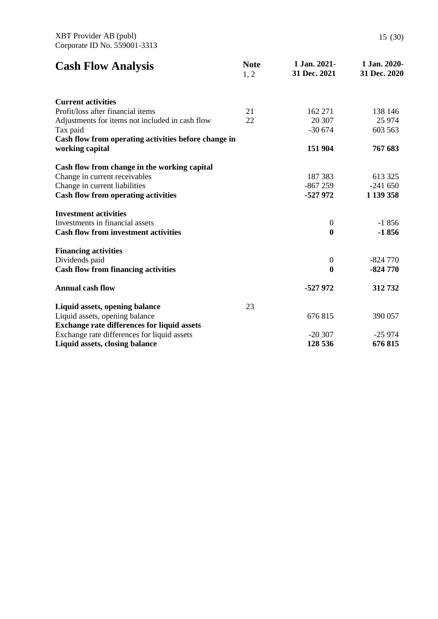| <b>Cash Flow Analysis</b>                            | <b>Note</b><br>1, 2 | 1 Jan. 2021-<br>31 Dec. 2021 | 1 Jan. 2020-<br>31 Dec. 2020 |
|------------------------------------------------------|---------------------|------------------------------|------------------------------|
| <b>Current activities</b>                            |                     |                              |                              |
| Profit/loss after financial items                    | 21                  | 162 271                      | 138 146                      |
| Adjustments for items not included in cash flow      | 22                  | 20 307                       | 25 974                       |
| Tax paid                                             |                     | $-30674$                     | 603 563                      |
| Cash flow from operating activities before change in |                     |                              |                              |
| working capital                                      |                     | 151 904                      | 767 683                      |
| Cash flow from change in the working capital         |                     |                              |                              |
| Change in current receivables                        |                     | 187 383                      | 613 325                      |
| Change in current liabilities                        |                     | $-867259$                    | $-241650$                    |
| <b>Cash flow from operating activities</b>           |                     | -527 972                     | 1 139 358                    |
| <b>Investment activities</b>                         |                     |                              |                              |
| Investments in financial assets                      |                     | $\boldsymbol{0}$             | $-1856$                      |
| <b>Cash flow from investment activities</b>          |                     | $\bf{0}$                     | $-1856$                      |
| <b>Financing activities</b>                          |                     |                              |                              |
| Dividends paid                                       |                     | $\boldsymbol{0}$             | $-824770$                    |
| <b>Cash flow from financing activities</b>           |                     | $\boldsymbol{0}$             | $-824770$                    |
| <b>Annual cash flow</b>                              |                     | -527 972                     | 312732                       |
| Liquid assets, opening balance                       | 23                  |                              |                              |
| Liquid assets, opening balance                       |                     | 676815                       | 390 057                      |
| <b>Exchange rate differences for liquid assets</b>   |                     |                              |                              |
| Exchange rate differences for liquid assets          |                     | $-20307$                     | $-25974$                     |
| Liquid assets, closing balance                       |                     | 128 536                      | 676815                       |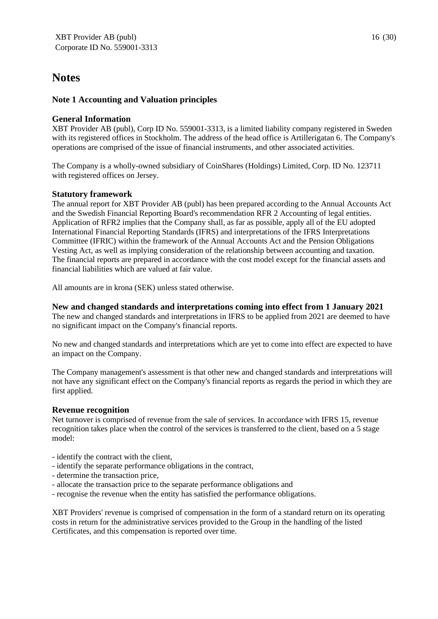# **Notes**

# **Note 1 Accounting and Valuation principles**

# **General Information**

XBT Provider AB (publ), Corp ID No. 559001-3313, is a limited liability company registered in Sweden with its registered offices in Stockholm. The address of the head office is Artillerigatan 6. The Company's operations are comprised of the issue of financial instruments, and other associated activities.

The Company is a wholly-owned subsidiary of CoinShares (Holdings) Limited, Corp. ID No. 123711 with registered offices on Jersey.

# **Statutory framework**

The annual report for XBT Provider AB (publ) has been prepared according to the Annual Accounts Act and the Swedish Financial Reporting Board's recommendation RFR 2 Accounting of legal entities. Application of RFR2 implies that the Company shall, as far as possible, apply all of the EU adopted International Financial Reporting Standards (IFRS) and interpretations of the IFRS Interpretations Committee (IFRIC) within the framework of the Annual Accounts Act and the Pension Obligations Vesting Act, as well as implying consideration of the relationship between accounting and taxation. The financial reports are prepared in accordance with the cost model except for the financial assets and financial liabilities which are valued at fair value.

All amounts are in krona (SEK) unless stated otherwise.

# **New and changed standards and interpretations coming into effect from 1 January 2021**

The new and changed standards and interpretations in IFRS to be applied from 2021 are deemed to have no significant impact on the Company's financial reports.

No new and changed standards and interpretations which are yet to come into effect are expected to have an impact on the Company.

The Company management's assessment is that other new and changed standards and interpretations will not have any significant effect on the Company's financial reports as regards the period in which they are first applied.

# **Revenue recognition**

Net turnover is comprised of revenue from the sale of services. In accordance with IFRS 15, revenue recognition takes place when the control of the services is transferred to the client, based on a 5 stage model:

- identify the contract with the client,
- identify the separate performance obligations in the contract,
- determine the transaction price,
- allocate the transaction price to the separate performance obligations and
- recognise the revenue when the entity has satisfied the performance obligations.

XBT Providers' revenue is comprised of compensation in the form of a standard return on its operating costs in return for the administrative services provided to the Group in the handling of the listed Certificates, and this compensation is reported over time.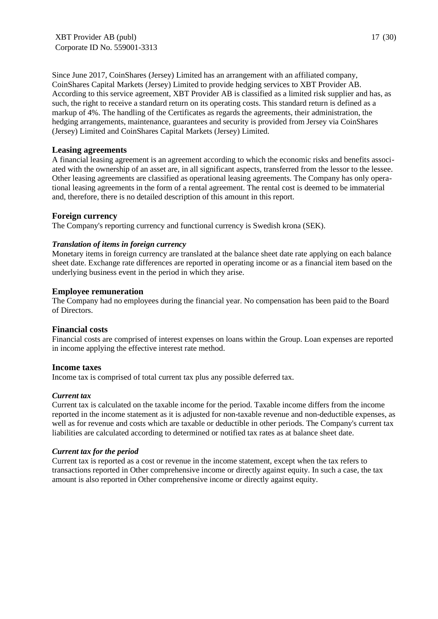XBT Provider AB (publ) Corporate ID No. 559001-3313

Since June 2017, CoinShares (Jersey) Limited has an arrangement with an affiliated company, CoinShares Capital Markets (Jersey) Limited to provide hedging services to XBT Provider AB. According to this service agreement, XBT Provider AB is classified as a limited risk supplier and has, as such, the right to receive a standard return on its operating costs. This standard return is defined as a markup of 4%. The handling of the Certificates as regards the agreements, their administration, the hedging arrangements, maintenance, guarantees and security is provided from Jersey via CoinShares (Jersey) Limited and CoinShares Capital Markets (Jersey) Limited.

#### **Leasing agreements**

A financial leasing agreement is an agreement according to which the economic risks and benefits associated with the ownership of an asset are, in all significant aspects, transferred from the lessor to the lessee. Other leasing agreements are classified as operational leasing agreements. The Company has only operational leasing agreements in the form of a rental agreement. The rental cost is deemed to be immaterial and, therefore, there is no detailed description of this amount in this report.

#### **Foreign currency**

The Company's reporting currency and functional currency is Swedish krona (SEK).

#### *Translation of items in foreign currency*

Monetary items in foreign currency are translated at the balance sheet date rate applying on each balance sheet date. Exchange rate differences are reported in operating income or as a financial item based on the underlying business event in the period in which they arise.

#### **Employee remuneration**

The Company had no employees during the financial year. No compensation has been paid to the Board of Directors.

#### **Financial costs**

Financial costs are comprised of interest expenses on loans within the Group. Loan expenses are reported in income applying the effective interest rate method.

#### **Income taxes**

Income tax is comprised of total current tax plus any possible deferred tax.

#### *Current tax*

Current tax is calculated on the taxable income for the period. Taxable income differs from the income reported in the income statement as it is adjusted for non-taxable revenue and non-deductible expenses, as well as for revenue and costs which are taxable or deductible in other periods. The Company's current tax liabilities are calculated according to determined or notified tax rates as at balance sheet date.

#### *Current tax for the period*

Current tax is reported as a cost or revenue in the income statement, except when the tax refers to transactions reported in Other comprehensive income or directly against equity. In such a case, the tax amount is also reported in Other comprehensive income or directly against equity.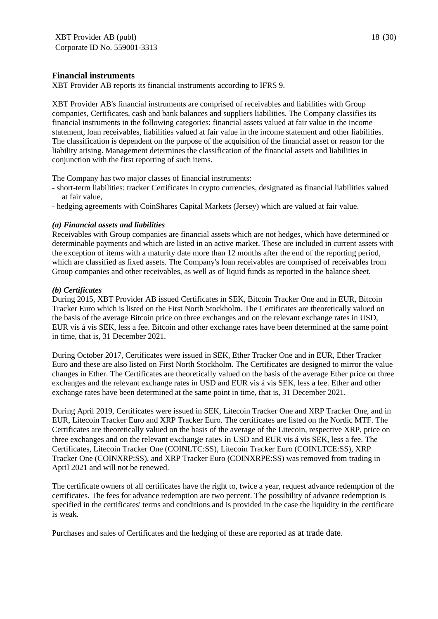#### **Financial instruments**

XBT Provider AB reports its financial instruments according to IFRS 9.

XBT Provider AB's financial instruments are comprised of receivables and liabilities with Group companies, Certificates, cash and bank balances and suppliers liabilities. The Company classifies its financial instruments in the following categories: financial assets valued at fair value in the income statement, loan receivables, liabilities valued at fair value in the income statement and other liabilities. The classification is dependent on the purpose of the acquisition of the financial asset or reason for the liability arising. Management determines the classification of the financial assets and liabilities in conjunction with the first reporting of such items.

The Company has two major classes of financial instruments:

- short-term liabilities: tracker Certificates in crypto currencies, designated as financial liabilities valued at fair value,
- hedging agreements with CoinShares Capital Markets (Jersey) which are valued at fair value.

#### *(a) Financial assets and liabilities*

Receivables with Group companies are financial assets which are not hedges, which have determined or determinable payments and which are listed in an active market. These are included in current assets with the exception of items with a maturity date more than 12 months after the end of the reporting period, which are classified as fixed assets. The Company's loan receivables are comprised of receivables from Group companies and other receivables, as well as of liquid funds as reported in the balance sheet.

#### *(b) Certificates*

During 2015, XBT Provider AB issued Certificates in SEK, Bitcoin Tracker One and in EUR, Bitcoin Tracker Euro which is listed on the First North Stockholm. The Certificates are theoretically valued on the basis of the average Bitcoin price on three exchanges and on the relevant exchange rates in USD, EUR vis á vis SEK, less a fee. Bitcoin and other exchange rates have been determined at the same point in time, that is, 31 December 2021.

During October 2017, Certificates were issued in SEK, Ether Tracker One and in EUR, Ether Tracker Euro and these are also listed on First North Stockholm. The Certificates are designed to mirror the value changes in Ether. The Certificates are theoretically valued on the basis of the average Ether price on three exchanges and the relevant exchange rates in USD and EUR vis á vis SEK, less a fee. Ether and other exchange rates have been determined at the same point in time, that is, 31 December 2021.

During April 2019, Certificates were issued in SEK, Litecoin Tracker One and XRP Tracker One, and in EUR, Litecoin Tracker Euro and XRP Tracker Euro. The certificates are listed on the Nordic MTF. The Certificates are theoretically valued on the basis of the average of the Litecoin, respective XRP, price on three exchanges and on the relevant exchange rates in USD and EUR vis á vis SEK, less a fee. The Certificates, Litecoin Tracker One (COINLTC:SS), Litecoin Tracker Euro (COINLTCE:SS), XRP Tracker One (COINXRP:SS), and XRP Tracker Euro (COINXRPE:SS) was removed from trading in April 2021 and will not be renewed.

The certificate owners of all certificates have the right to, twice a year, request advance redemption of the certificates. The fees for advance redemption are two percent. The possibility of advance redemption is specified in the certificates' terms and conditions and is provided in the case the liquidity in the certificate is weak.

Purchases and sales of Certificates and the hedging of these are reported as at trade date.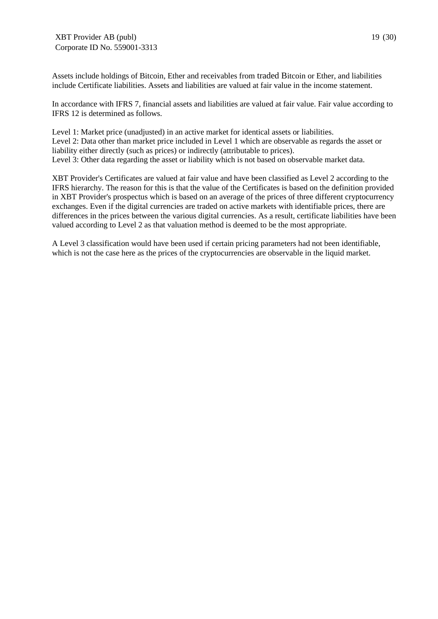Assets include holdings of Bitcoin, Ether and receivables from traded Bitcoin or Ether, and liabilities include Certificate liabilities. Assets and liabilities are valued at fair value in the income statement.

In accordance with IFRS 7, financial assets and liabilities are valued at fair value. Fair value according to IFRS 12 is determined as follows.

Level 1: Market price (unadjusted) in an active market for identical assets or liabilities. Level 2: Data other than market price included in Level 1 which are observable as regards the asset or liability either directly (such as prices) or indirectly (attributable to prices). Level 3: Other data regarding the asset or liability which is not based on observable market data.

XBT Provider's Certificates are valued at fair value and have been classified as Level 2 according to the IFRS hierarchy. The reason for this is that the value of the Certificates is based on the definition provided in XBT Provider's prospectus which is based on an average of the prices of three different cryptocurrency exchanges. Even if the digital currencies are traded on active markets with identifiable prices, there are differences in the prices between the various digital currencies. As a result, certificate liabilities have been valued according to Level 2 as that valuation method is deemed to be the most appropriate.

A Level 3 classification would have been used if certain pricing parameters had not been identifiable, which is not the case here as the prices of the cryptocurrencies are observable in the liquid market.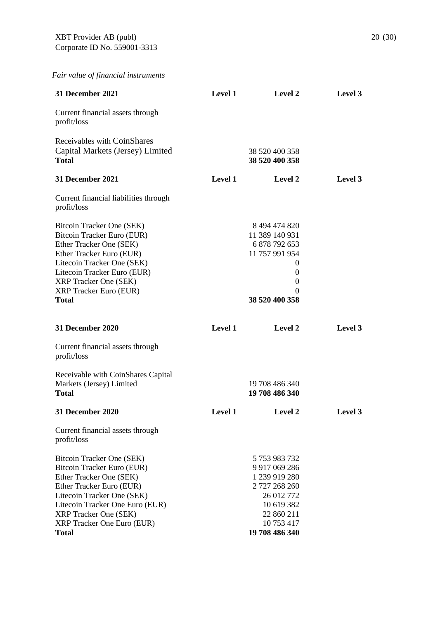*Fair value of financial instruments* 

| <b>31 December 2021</b>                                                                                                                                                                                                                                              | <b>Level 1</b> | Level 2                                                                                                                                        | Level 3 |
|----------------------------------------------------------------------------------------------------------------------------------------------------------------------------------------------------------------------------------------------------------------------|----------------|------------------------------------------------------------------------------------------------------------------------------------------------|---------|
| Current financial assets through<br>profit/loss                                                                                                                                                                                                                      |                |                                                                                                                                                |         |
| Receivables with CoinShares<br>Capital Markets (Jersey) Limited<br><b>Total</b>                                                                                                                                                                                      |                | 38 520 400 358<br>38 520 400 358                                                                                                               |         |
| 31 December 2021                                                                                                                                                                                                                                                     | <b>Level 1</b> | Level 2                                                                                                                                        | Level 3 |
| Current financial liabilities through<br>profit/loss                                                                                                                                                                                                                 |                |                                                                                                                                                |         |
| Bitcoin Tracker One (SEK)<br>Bitcoin Tracker Euro (EUR)<br>Ether Tracker One (SEK)<br>Ether Tracker Euro (EUR)<br>Litecoin Tracker One (SEK)<br>Litecoin Tracker Euro (EUR)<br><b>XRP</b> Tracker One (SEK)<br><b>XRP Tracker Euro (EUR)</b><br><b>Total</b>         |                | 8 494 474 820<br>11 389 140 931<br>6 878 792 653<br>11 757 991 954<br>$\overline{0}$<br>0<br>$\theta$<br>$\Omega$<br>38 520 400 358            |         |
| <b>31 December 2020</b>                                                                                                                                                                                                                                              | Level 1        | Level 2                                                                                                                                        | Level 3 |
| Current financial assets through<br>profit/loss                                                                                                                                                                                                                      |                |                                                                                                                                                |         |
| Receivable with CoinShares Capital<br>Markets (Jersey) Limited<br><b>Total</b>                                                                                                                                                                                       |                | 19 708 486 340<br>19 708 486 340                                                                                                               |         |
| 31 December 2020                                                                                                                                                                                                                                                     | <b>Level 1</b> | <b>Level 2</b>                                                                                                                                 | Level 3 |
| Current financial assets through<br>profit/loss                                                                                                                                                                                                                      |                |                                                                                                                                                |         |
| Bitcoin Tracker One (SEK)<br>Bitcoin Tracker Euro (EUR)<br>Ether Tracker One (SEK)<br>Ether Tracker Euro (EUR)<br>Litecoin Tracker One (SEK)<br>Litecoin Tracker One Euro (EUR)<br><b>XRP</b> Tracker One (SEK)<br><b>XRP</b> Tracker One Euro (EUR)<br><b>Total</b> |                | 5 753 983 732<br>9 9 17 0 69 2 8 6<br>1 239 919 280<br>2 727 268 260<br>26 012 772<br>10 619 382<br>22 860 211<br>10 753 417<br>19 708 486 340 |         |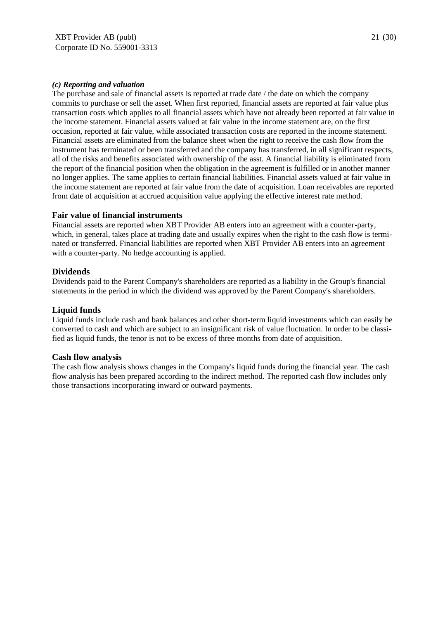The purchase and sale of financial assets is reported at trade date / the date on which the company commits to purchase or sell the asset. When first reported, financial assets are reported at fair value plus transaction costs which applies to all financial assets which have not already been reported at fair value in the income statement. Financial assets valued at fair value in the income statement are, on the first occasion, reported at fair value, while associated transaction costs are reported in the income statement. Financial assets are eliminated from the balance sheet when the right to receive the cash flow from the instrument has terminated or been transferred and the company has transferred, in all significant respects, all of the risks and benefits associated with ownership of the asst. A financial liability is eliminated from the report of the financial position when the obligation in the agreement is fulfilled or in another manner no longer applies. The same applies to certain financial liabilities. Financial assets valued at fair value in the income statement are reported at fair value from the date of acquisition. Loan receivables are reported from date of acquisition at accrued acquisition value applying the effective interest rate method.

#### **Fair value of financial instruments**

Financial assets are reported when XBT Provider AB enters into an agreement with a counter-party, which, in general, takes place at trading date and usually expires when the right to the cash flow is terminated or transferred. Financial liabilities are reported when XBT Provider AB enters into an agreement with a counter-party. No hedge accounting is applied.

#### **Dividends**

Dividends paid to the Parent Company's shareholders are reported as a liability in the Group's financial statements in the period in which the dividend was approved by the Parent Company's shareholders.

#### **Liquid funds**

Liquid funds include cash and bank balances and other short-term liquid investments which can easily be converted to cash and which are subject to an insignificant risk of value fluctuation. In order to be classified as liquid funds, the tenor is not to be excess of three months from date of acquisition.

#### **Cash flow analysis**

The cash flow analysis shows changes in the Company's liquid funds during the financial year. The cash flow analysis has been prepared according to the indirect method. The reported cash flow includes only those transactions incorporating inward or outward payments.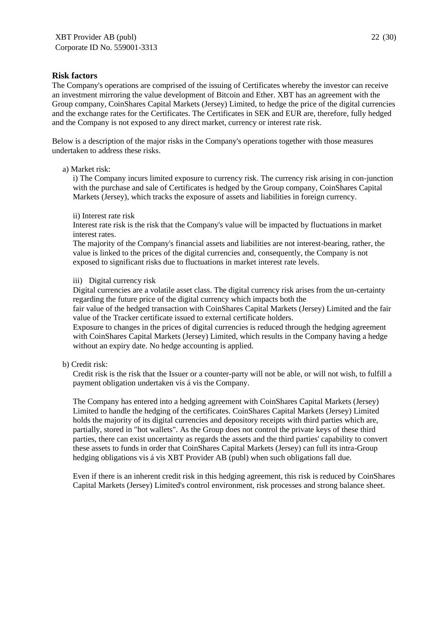#### **Risk factors**

The Company's operations are comprised of the issuing of Certificates whereby the investor can receive an investment mirroring the value development of Bitcoin and Ether. XBT has an agreement with the Group company, CoinShares Capital Markets (Jersey) Limited, to hedge the price of the digital currencies and the exchange rates for the Certificates. The Certificates in SEK and EUR are, therefore, fully hedged and the Company is not exposed to any direct market, currency or interest rate risk.

Below is a description of the major risks in the Company's operations together with those measures undertaken to address these risks.

#### a) Market risk:

i) The Company incurs limited exposure to currency risk. The currency risk arising in con-junction with the purchase and sale of Certificates is hedged by the Group company, CoinShares Capital Markets (Jersey), which tracks the exposure of assets and liabilities in foreign currency.

#### ii) Interest rate risk

Interest rate risk is the risk that the Company's value will be impacted by fluctuations in market interest rates.

The majority of the Company's financial assets and liabilities are not interest-bearing, rather, the value is linked to the prices of the digital currencies and, consequently, the Company is not exposed to significant risks due to fluctuations in market interest rate levels.

#### iii) Digital currency risk

Digital currencies are a volatile asset class. The digital currency risk arises from the un-certainty regarding the future price of the digital currency which impacts both the

fair value of the hedged transaction with CoinShares Capital Markets (Jersey) Limited and the fair value of the Tracker certificate issued to external certificate holders.

Exposure to changes in the prices of digital currencies is reduced through the hedging agreement with CoinShares Capital Markets (Jersey) Limited, which results in the Company having a hedge without an expiry date. No hedge accounting is applied.

#### b) Credit risk:

Credit risk is the risk that the Issuer or a counter-party will not be able, or will not wish, to fulfill a payment obligation undertaken vis á vis the Company.

The Company has entered into a hedging agreement with CoinShares Capital Markets (Jersey) Limited to handle the hedging of the certificates. CoinShares Capital Markets (Jersey) Limited holds the majority of its digital currencies and depository receipts with third parties which are, partially, stored in "hot wallets". As the Group does not control the private keys of these third parties, there can exist uncertainty as regards the assets and the third parties' capability to convert these assets to funds in order that CoinShares Capital Markets (Jersey) can full its intra-Group hedging obligations vis á vis XBT Provider AB (publ) when such obligations fall due.

Even if there is an inherent credit risk in this hedging agreement, this risk is reduced by CoinShares Capital Markets (Jersey) Limited's control environment, risk processes and strong balance sheet.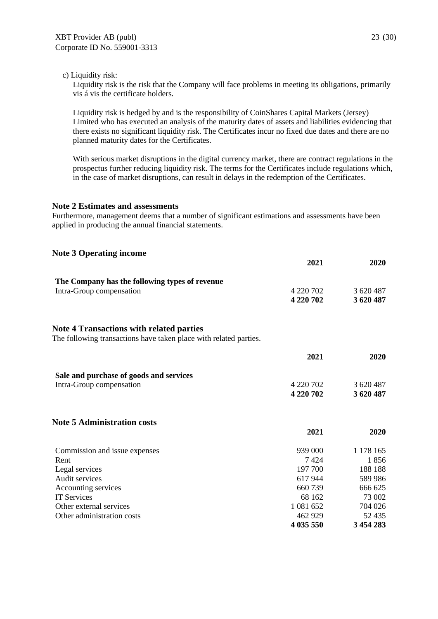Liquidity risk is the risk that the Company will face problems in meeting its obligations, primarily vis á vis the certificate holders.

Liquidity risk is hedged by and is the responsibility of CoinShares Capital Markets (Jersey) Limited who has executed an analysis of the maturity dates of assets and liabilities evidencing that there exists no significant liquidity risk. The Certificates incur no fixed due dates and there are no planned maturity dates for the Certificates.

With serious market disruptions in the digital currency market, there are contract regulations in the prospectus further reducing liquidity risk. The terms for the Certificates include regulations which, in the case of market disruptions, can result in delays in the redemption of the Certificates.

#### **Note 2 Estimates and assessments**

Furthermore, management deems that a number of significant estimations and assessments have been applied in producing the annual financial statements.

| <b>Note 3 Operating income</b>                                    |           |           |
|-------------------------------------------------------------------|-----------|-----------|
|                                                                   | 2021      | 2020      |
| The Company has the following types of revenue                    |           |           |
| Intra-Group compensation                                          | 4 220 702 | 3 620 487 |
|                                                                   | 4 220 702 | 3 620 487 |
| <b>Note 4 Transactions with related parties</b>                   |           |           |
| The following transactions have taken place with related parties. |           |           |
|                                                                   | 2021      | 2020      |
| Sale and purchase of goods and services                           |           |           |
| Intra-Group compensation                                          | 4 220 702 | 3 620 487 |
|                                                                   | 4 220 702 | 3 620 487 |
| <b>Note 5 Administration costs</b>                                |           |           |
|                                                                   | 2021      | 2020      |
| Commission and issue expenses                                     | 939 000   | 1 178 165 |
| Rent                                                              | 7424      | 1856      |
| Legal services                                                    | 197 700   | 188 188   |
| Audit services                                                    | 617944    | 589 986   |
| Accounting services                                               | 660739    | 666 625   |
| <b>IT Services</b>                                                | 68 162    | 73 002    |
| Other external services                                           | 1 081 652 | 704 026   |
| Other administration costs                                        | 462 929   | 52 435    |
|                                                                   | 4 035 550 | 3 454 283 |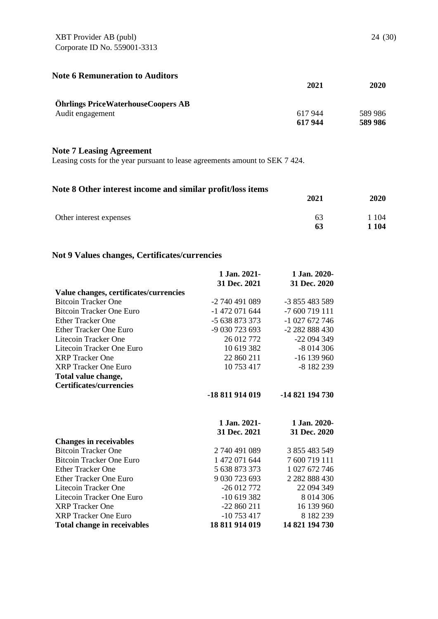XBT Provider AB (publ) Corporate ID No. 559001-3313

| <b>Note 6 Remuneration to Auditors</b>    | 2021   | 2020    |
|-------------------------------------------|--------|---------|
| <b>Öhrlings PriceWaterhouseCoopers AB</b> |        |         |
| Audit engagement                          | 617944 | 589 986 |
|                                           | 617944 | 589 986 |

# **Note 7 Leasing Agreement**

Leasing costs for the year pursuant to lease agreements amount to SEK 7 424.

# **Note 8 Other interest income and similar profit/loss items**

|                         | 2021 | 2020    |
|-------------------------|------|---------|
| Other interest expenses | 63   | 104     |
|                         | 63   | 1 1 0 4 |

# **Not 9 Values changes, Certificates/currencies**

|                                        | 1 Jan. 2021-    | 1 Jan. 2020-      |
|----------------------------------------|-----------------|-------------------|
|                                        | 31 Dec. 2021    | 31 Dec. 2020      |
| Value changes, certificates/currencies |                 |                   |
| <b>Bitcoin Tracker One</b>             | -2 740 491 089  | -3 855 483 589    |
| <b>Bitcoin Tracker One Euro</b>        | -1 472 071 644  | -7 600 719 111    |
| <b>Ether Tracker One</b>               | -5 638 873 373  | $-1027672746$     |
| Ether Tracker One Euro                 | -9 030 723 693  | -2 282 888 430    |
| Litecoin Tracker One                   | 26 012 772      | -22 094 349       |
| Litecoin Tracker One Euro              | 10 619 382      | $-8014306$        |
| <b>XRP</b> Tracker One                 | 22 860 211      | $-16139960$       |
| <b>XRP Tracker One Euro</b>            | 10 753 417      | -8 182 239        |
| Total value change,                    |                 |                   |
| <b>Certificates/currencies</b>         |                 |                   |
|                                        | -18 811 914 019 | -14 821 194 730   |
|                                        |                 |                   |
|                                        |                 |                   |
|                                        | 1 Jan. 2021-    | 1 Jan. 2020-      |
|                                        | 31 Dec. 2021    | 31 Dec. 2020      |
| <b>Changes in receivables</b>          |                 |                   |
| <b>Bitcoin Tracker One</b>             | 2740491089      | 3 855 483 549     |
| <b>Bitcoin Tracker One Euro</b>        | 1 472 071 644   | 7 600 719 111     |
| <b>Ether Tracker One</b>               | 5 638 873 373   | 1 027 672 746     |
| <b>Ether Tracker One Euro</b>          | 9 030 723 693   | 2 2 8 2 8 3 4 3 0 |
| Litecoin Tracker One                   | $-26012772$     | 22 094 349        |
| Litecoin Tracker One Euro              | $-10619382$     | 8 0 14 3 0 6      |
| <b>XRP</b> Tracker One                 | $-22860211$     | 16 139 960        |
| <b>XRP</b> Tracker One Euro            | $-10753417$     | 8 182 239         |
| <b>Total change in receivables</b>     | 18 811 914 019  | 14 821 194 730    |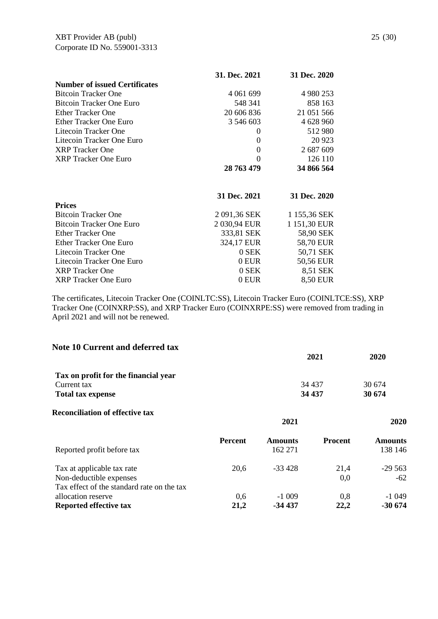|                                      | 31. Dec. 2021 | 31 Dec. 2020 |
|--------------------------------------|---------------|--------------|
| <b>Number of issued Certificates</b> |               |              |
| <b>Bitcoin Tracker One</b>           | 4 061 699     | 4 980 253    |
| Bitcoin Tracker One Euro             | 548 341       | 858 163      |
| <b>Ether Tracker One</b>             | 20 606 836    | 21 051 566   |
| Ether Tracker One Euro               | 3 546 603     | 4 628 960    |
| Litecoin Tracker One                 | $\Omega$      | 512 980      |
| Litecoin Tracker One Euro            | 0             | 20 9 23      |
| <b>XRP</b> Tracker One               | 0             | 2 687 609    |
| <b>XRP</b> Tracker One Euro          | 0             | 126 110      |
|                                      | 28 763 479    | 34 866 564   |
|                                      |               |              |
|                                      | 31 Dec. 2021  | 31 Dec. 2020 |
| <b>Prices</b>                        |               |              |
| <b>Bitcoin Tracker One</b>           | 2 091,36 SEK  | 1 155,36 SEK |
| Bitcoin Tracker One Euro             | 2 030,94 EUR  | 1 151,30 EUR |
| <b>Ether Tracker One</b>             | 333,81 SEK    | 58,90 SEK    |
| <b>Ether Tracker One Euro</b>        | 324,17 EUR    | 58,70 EUR    |
| Litecoin Tracker One                 | 0 SEK         | 50,71 SEK    |
| Litecoin Tracker One Euro            | 0 EUR         | 50,56 EUR    |
| <b>XRP</b> Tracker One               | 0 SEK         | 8,51 SEK     |
| <b>XRP</b> Tracker One Euro          | $0$ EUR       | 8,50 EUR     |

The certificates, Litecoin Tracker One (COINLTC:SS), Litecoin Tracker Euro (COINLTCE:SS), XRP Tracker One (COINXRP:SS), and XRP Tracker Euro (COINXRPE:SS) were removed from trading in April 2021 and will not be renewed.

| Note 10 Current and deferred tax                                      |                |                           | 2021           | 2020                      |
|-----------------------------------------------------------------------|----------------|---------------------------|----------------|---------------------------|
| Tax on profit for the financial year                                  |                |                           |                |                           |
| Current tax                                                           |                |                           | 34 4 37        | 30 674                    |
| <b>Total tax expense</b>                                              |                |                           | 34 437         | 30 674                    |
| <b>Reconciliation of effective tax</b>                                |                | 2021                      |                | 2020                      |
| Reported profit before tax                                            | <b>Percent</b> | <b>Amounts</b><br>162 271 | <b>Procent</b> | <b>Amounts</b><br>138 146 |
| Tax at applicable tax rate                                            | 20,6           | $-33428$                  | 21,4           | $-29563$                  |
| Non-deductible expenses<br>Tax effect of the standard rate on the tax |                |                           | 0,0            | $-62$                     |
| allocation reserve                                                    | 0,6            | $-1009$                   | 0,8            | -1 049                    |

**Reported effective tax 21,2 -34 437 22,2 -30 674**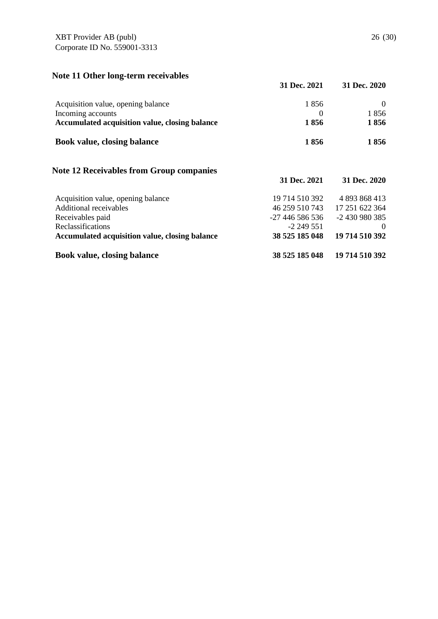# **Note 11 Other long-term receivables**

|                                                 | 31 Dec. 2021    | 31 Dec. 2020   |
|-------------------------------------------------|-----------------|----------------|
| Acquisition value, opening balance              | 1856            | $\theta$       |
| Incoming accounts                               | $\theta$        | 1856           |
| Accumulated acquisition value, closing balance  | 1856            | 1856           |
| <b>Book value, closing balance</b>              | 1856            | 1856           |
| <b>Note 12 Receivables from Group companies</b> | 31 Dec. 2021    | 31 Dec. 2020   |
|                                                 |                 |                |
| Acquisition value, opening balance              | 19 714 510 392  | 4 893 868 413  |
| Additional receivables                          | 46 259 510 743  | 17 251 622 364 |
| Receivables paid                                | -27 446 586 536 | -2 430 980 385 |
| Reclassifications                               | -2 249 551      | $\theta$       |
| Accumulated acquisition value, closing balance  | 38 525 185 048  | 19 714 510 392 |
| <b>Book value, closing balance</b>              | 38 525 185 048  | 19 714 510 392 |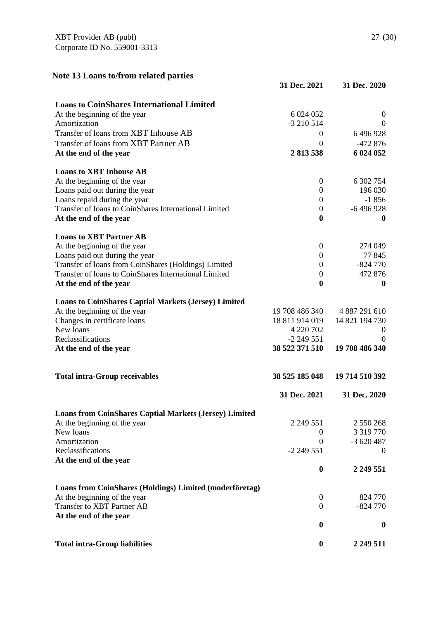| Note 13 Loans to/from related parties                         |                  |                  |
|---------------------------------------------------------------|------------------|------------------|
|                                                               | 31 Dec. 2021     | 31 Dec. 2020     |
| <b>Loans to CoinShares International Limited</b>              |                  |                  |
| At the beginning of the year                                  | 6 024 052        | $\boldsymbol{0}$ |
| Amortization                                                  | $-3210514$       | $\boldsymbol{0}$ |
| Transfer of loans from XBT Inhouse AB                         | $\overline{0}$   | 6496928          |
| Transfer of loans from XBT Partner AB                         | $\Omega$         | $-472876$        |
| At the end of the year                                        | 2 813 538        | 6 024 052        |
| <b>Loans to XBT Inhouse AB</b>                                |                  |                  |
| At the beginning of the year                                  | $\boldsymbol{0}$ | 6 302 754        |
| Loans paid out during the year                                | $\mathbf{0}$     | 196 030          |
| Loans repaid during the year                                  | $\boldsymbol{0}$ | $-1856$          |
| Transfer of loans to CoinShares International Limited         | $\boldsymbol{0}$ | $-6496928$       |
| At the end of the year                                        | $\boldsymbol{0}$ | $\boldsymbol{0}$ |
| <b>Loans to XBT Partner AB</b>                                |                  |                  |
| At the beginning of the year                                  | $\boldsymbol{0}$ | 274 049          |
| Loans paid out during the year                                | $\overline{0}$   | 77845            |
| Transfer of loans from CoinShares (Holdings) Limited          | $\theta$         | $-824770$        |
| Transfer of loans to CoinShares International Limited         | $\boldsymbol{0}$ | 472 876          |
| At the end of the year                                        | $\boldsymbol{0}$ | $\boldsymbol{0}$ |
| <b>Loans to CoinShares Captial Markets (Jersey) Limited</b>   |                  |                  |
| At the beginning of the year                                  | 19 708 486 340   | 4 887 291 610    |
| Changes in certificate loans                                  | 18 811 914 019   | 14 821 194 730   |
| New loans                                                     | 4 220 702        | O                |
| Reclassifications                                             | $-2$ 249 551     | $\left( \right)$ |
| At the end of the year                                        | 38 522 371 510   | 19 708 486 340   |
| <b>Total intra-Group receivables</b>                          | 38 525 185 048   | 19 714 510 392   |
|                                                               | 31 Dec. 2021     | 31 Dec. 2020     |
| <b>Loans from CoinShares Captial Markets (Jersey) Limited</b> |                  |                  |
| At the beginning of the year                                  | 2 2 4 5 5 1      | 2 550 268        |
| New loans                                                     | $\theta$         | 3 3 1 9 7 7 0    |
| Amortization                                                  | $\theta$         | $-3620487$       |
| Reclassifications                                             | $-2249551$       | $\boldsymbol{0}$ |
| At the end of the year                                        | $\boldsymbol{0}$ | 2 249 551        |
| Loans from CoinShares (Holdings) Limited (moderföretag)       |                  |                  |
| At the beginning of the year                                  | $\overline{0}$   | 824 770          |
| <b>Transfer to XBT Partner AB</b>                             | $\mathbf{0}$     | $-824770$        |
| At the end of the year                                        |                  |                  |
|                                                               | $\boldsymbol{0}$ | 0                |

Total intra-Group liabilities **0 2 249 511**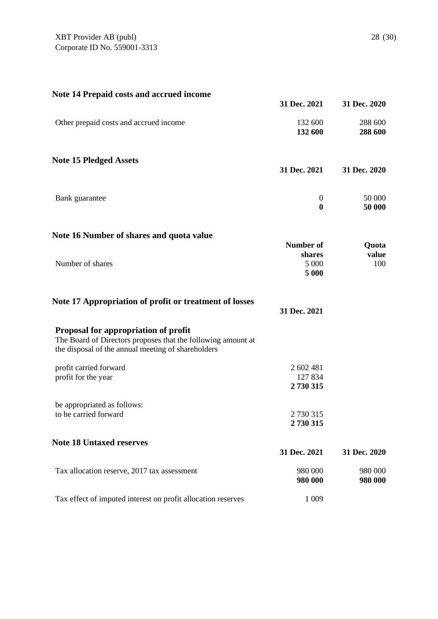| <b>Note 14 Prepaid costs and accrued income</b>                                                                                                            | 31 Dec. 2021                    | 31 Dec. 2020       |
|------------------------------------------------------------------------------------------------------------------------------------------------------------|---------------------------------|--------------------|
| Other prepaid costs and accrued income                                                                                                                     | 132 600<br>132 600              | 288 600<br>288 600 |
| <b>Note 15 Pledged Assets</b>                                                                                                                              | 31 Dec. 2021                    | 31 Dec. 2020       |
| Bank guarantee                                                                                                                                             | $\boldsymbol{0}$<br>$\bf{0}$    | 50 000<br>50 000   |
| Note 16 Number of shares and quota value                                                                                                                   | <b>Number of</b>                | Quota              |
| Number of shares                                                                                                                                           | shares<br>5 000<br>5 000        | value<br>100       |
| Note 17 Appropriation of profit or treatment of losses                                                                                                     | 31 Dec. 2021                    |                    |
| Proposal for appropriation of profit<br>The Board of Directors proposes that the following amount at<br>the disposal of the annual meeting of shareholders |                                 |                    |
| profit carried forward<br>profit for the year                                                                                                              | 2 602 481<br>127 834<br>2730315 |                    |
| be appropriated as follows:<br>to be carried forward                                                                                                       | 2 730 315<br>2730315            |                    |
| <b>Note 18 Untaxed reserves</b>                                                                                                                            | 31 Dec. 2021                    | 31 Dec. 2020       |
| Tax allocation reserve, 2017 tax assessment                                                                                                                | 980 000<br>980 000              | 980 000<br>980 000 |
| Tax effect of imputed interest on profit allocation reserves                                                                                               | 1 0 0 9                         |                    |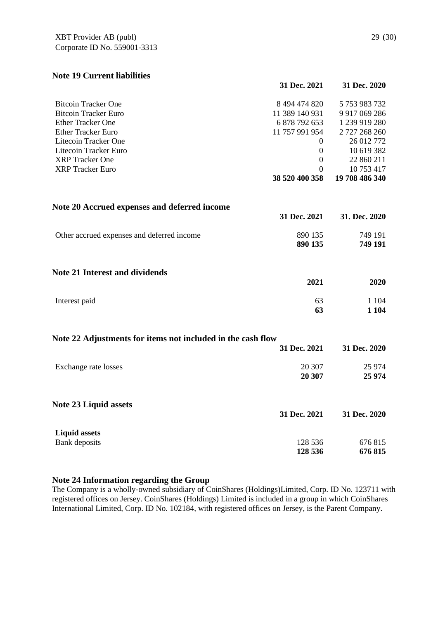# **Note 19 Current liabilities**

|                                                             | 31 Dec. 2021     | 31 Dec. 2020   |
|-------------------------------------------------------------|------------------|----------------|
| <b>Bitcoin Tracker One</b>                                  | 8 494 474 820    | 5 753 983 732  |
| <b>Bitcoin Tracker Euro</b>                                 | 11 389 140 931   | 9 917 069 286  |
| <b>Ether Tracker One</b>                                    | 6 878 792 653    | 1 239 919 280  |
| <b>Ether Tracker Euro</b>                                   | 11 757 991 954   | 2 727 268 260  |
| Litecoin Tracker One                                        | $\theta$         | 26 012 772     |
| Litecoin Tracker Euro                                       | $\theta$         | 10 619 382     |
| <b>XRP</b> Tracker One                                      | $\boldsymbol{0}$ | 22 860 211     |
| <b>XRP</b> Tracker Euro                                     | $\theta$         | 10 753 417     |
|                                                             | 38 520 400 358   | 19 708 486 340 |
| Note 20 Accrued expenses and deferred income                |                  |                |
|                                                             | 31 Dec. 2021     | 31. Dec. 2020  |
| Other accrued expenses and deferred income                  | 890 135          | 749 191        |
|                                                             | 890 135          | 749 191        |
| <b>Note 21 Interest and dividends</b>                       |                  |                |
|                                                             | 2021             | 2020           |
| Interest paid                                               | 63               | 1 1 0 4        |
|                                                             | 63               | 1 1 0 4        |
| Note 22 Adjustments for items not included in the cash flow |                  |                |
|                                                             | 31 Dec. 2021     | 31 Dec. 2020   |
| Exchange rate losses                                        | 20 307           | 25 974         |
|                                                             | 20 307           | 25 974         |
|                                                             |                  |                |

#### **Note 23 Liquid assets**

|                      | 31 Dec. 2021 | 31 Dec. 2020 |
|----------------------|--------------|--------------|
| <b>Liquid assets</b> |              |              |
| Bank deposits        | 128 536      | 676 815      |
|                      | 128 536      | 676 815      |

#### **Note 24 Information regarding the Group**

The Company is a wholly-owned subsidiary of CoinShares (Holdings)Limited, Corp. ID No. 123711 with registered offices on Jersey. CoinShares (Holdings) Limited is included in a group in which CoinShares International Limited, Corp. ID No. 102184, with registered offices on Jersey, is the Parent Company.